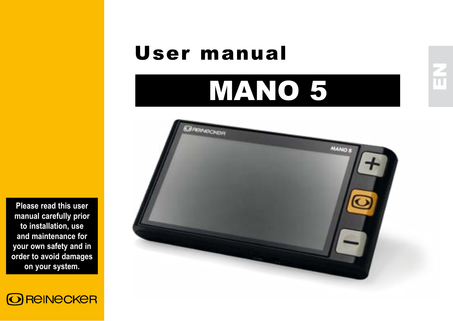# User manual

# MANO 5



**Please read this user manual carefully prior to installation, use and maintenance for your own safety and in order to avoid damages on your system.**

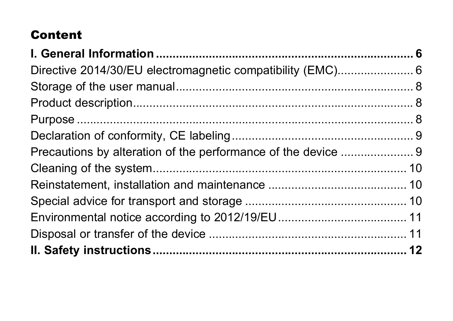# Content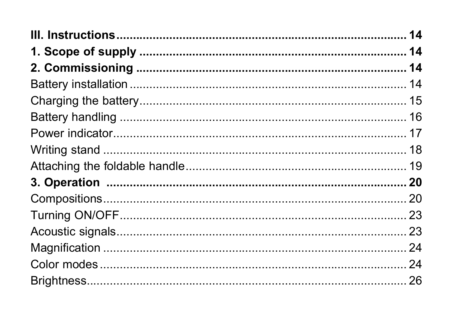| 14 |
|----|
|    |
|    |
|    |
|    |
|    |
|    |
|    |
|    |
|    |
|    |
|    |
| 23 |
| 24 |
|    |
|    |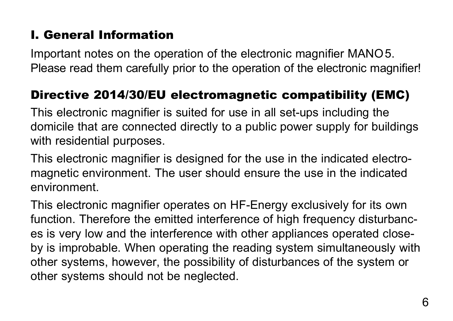# <span id="page-5-0"></span>I. General Information

Important notes on the operation of the electronic magnifier MANO5. Please read them carefully prior to the operation of the electronic magnifier!

#### Directive 2014/30/EU electromagnetic compatibility (EMC)

This electronic magnifier is suited for use in all set-ups including the domicile that are connected directly to a public power supply for buildings with residential purposes.

This electronic magnifier is designed for the use in the indicated electromagnetic environment. The user should ensure the use in the indicated environment.

This electronic magnifier operates on HF-Energy exclusively for its own function. Therefore the emitted interference of high frequency disturbances is very low and the interference with other appliances operated closeby is improbable. When operating the reading system simultaneously with other systems, however, the possibility of disturbances of the system or other systems should not be neglected.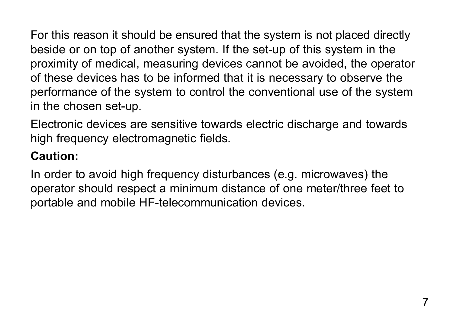For this reason it should be ensured that the system is not placed directly beside or on top of another system. If the set-up of this system in the proximity of medical, measuring devices cannot be avoided, the operator of these devices has to be informed that it is necessary to observe the performance of the system to control the conventional use of the system in the chosen set-up.

Electronic devices are sensitive towards electric discharge and towards high frequency electromagnetic fields.

# **Caution:**

In order to avoid high frequency disturbances (e.g. microwaves) the operator should respect a minimum distance of one meter/three feet to portable and mobile HF-telecommunication devices.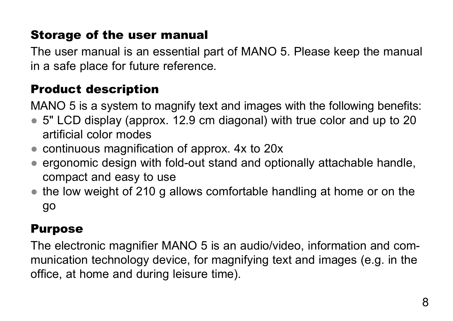# <span id="page-7-0"></span>Storage of the user manual

The user manual is an essential part of MANO 5. Please keep the manual in a safe place for future reference.

# Product description

MANO 5 is a system to magnify text and images with the following benefits:

- 5" LCD display (approx. 12.9 cm diagonal) with true color and up to 20 artificial color modes
- continuous magnification of approx. 4x to 20x
- ergonomic design with fold-out stand and optionally attachable handle, compact and easy to use
- the low weight of 210 g allows comfortable handling at home or on the go

# Purpose

The electronic magnifier MANO 5 is an audio/video, information and communication technology device, for magnifying text and images (e.g. in the office, at home and during leisure time).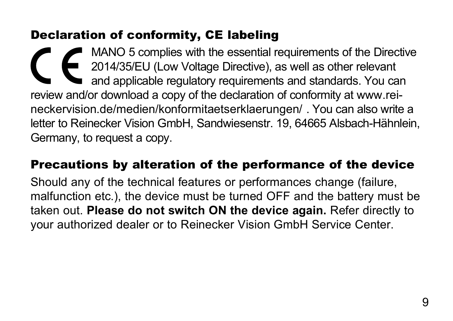#### <span id="page-8-0"></span>Declaration of conformity, CE labeling

MANO 5 complies with the essential requirements of the Directive 2014/35/EU (Low Voltage Directive), as well as other relevant and applicable regulatory requirements and standards. You can review and/or download a copy of the declaration of conformity at www.reineckervision.de/medien/konformitaetserklaerungen/ . You can also write a letter to Reinecker Vision GmbH, Sandwiesenstr. 19, 64665 Alsbach-Hähnlein, Germany, to request a copy.

#### Precautions by alteration of the performance of the device

Should any of the technical features or performances change (failure, malfunction etc.), the device must be turned OFF and the battery must be taken out. **Please do not switch ON the device again.** Refer directly to your authorized dealer or to Reinecker Vision GmbH Service Center.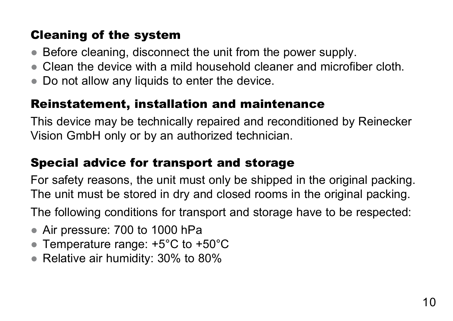# <span id="page-9-0"></span>Cleaning of the system

- Before cleaning, disconnect the unit from the power supply.
- Clean the device with a mild household cleaner and microfiber cloth.
- Do not allow any liquids to enter the device.

#### Reinstatement, installation and maintenance

This device may be technically repaired and reconditioned by Reinecker Vision GmbH only or by an authorized technician.

#### Special advice for transport and storage

For safety reasons, the unit must only be shipped in the original packing. The unit must be stored in dry and closed rooms in the original packing.

The following conditions for transport and storage have to be respected:

- Air pressure: 700 to 1000 hPa
- Temperature range: +5°C to +50°C
- Relative air humidity: 30% to 80%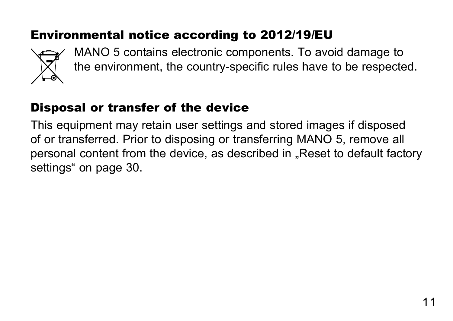# <span id="page-10-0"></span>Environmental notice according to 2012/19/EU



MANO 5 contains electronic components. To avoid damage to the environment, the country-specific rules have to be respected.

# Disposal or transfer of the device

This equipment may retain user settings and stored images if disposed of or transferred. Prior to disposing or transferring MANO 5, remove all personal content from the device, as described in ["Reset to default factory](#page-29-1) [settings" on page 30.](#page-29-1)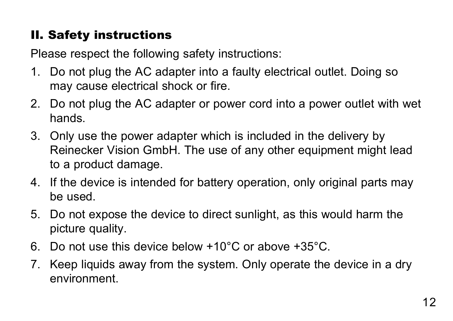# <span id="page-11-0"></span>II. Safety instructions

Please respect the following safety instructions:

- 1. Do not plug the AC adapter into a faulty electrical outlet. Doing so may cause electrical shock or fire.
- 2. Do not plug the AC adapter or power cord into a power outlet with wet hands.
- 3. Only use the power adapter which is included in the delivery by Reinecker Vision GmbH. The use of any other equipment might lead to a product damage.
- 4. If the device is intended for battery operation, only original parts may be used.
- 5. Do not expose the device to direct sunlight, as this would harm the picture quality.
- 6. Do not use this device below +10°C or above +35°C.
- 7. Keep liquids away from the system. Only operate the device in a dry environment.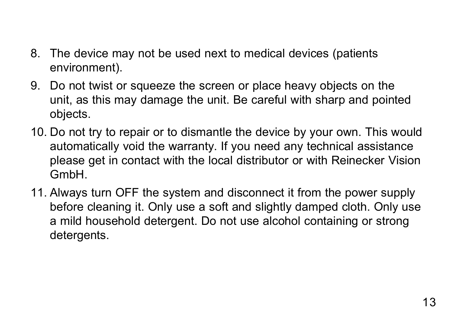- 8. The device may not be used next to medical devices (patients environment).
- 9. Do not twist or squeeze the screen or place heavy objects on the unit, as this may damage the unit. Be careful with sharp and pointed objects.
- 10. Do not try to repair or to dismantle the device by your own. This would automatically void the warranty. If you need any technical assistance please get in contact with the local distributor or with Reinecker Vision GmbH.
- 11. Always turn OFF the system and disconnect it from the power supply before cleaning it. Only use a soft and slightly damped cloth. Only use a mild household detergent. Do not use alcohol containing or strong detergents.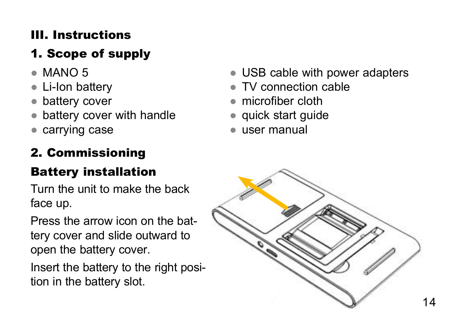# <span id="page-13-0"></span>III. Instructions

# 1. Scope of supply

- $\bullet$  MANO 5
- **Li-Ion battery**
- battery cover
- battery cover with handle
- carrving case

# 2. Commissioning

# <span id="page-13-1"></span>Battery installation

Turn the unit to make the back face up.

Press the arrow icon on the battery cover and slide outward to open the battery cover.

Insert the battery to the right position in the battery slot.

- USB cable with power adapters
- TV connection cable
- microfiber cloth
- quick start guide
- user manual

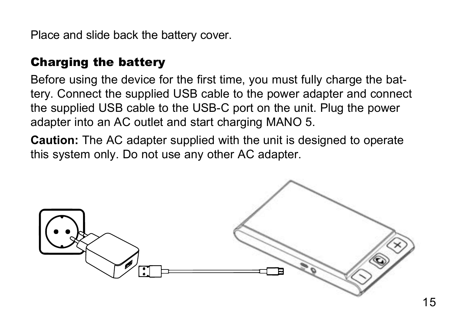<span id="page-14-0"></span>Place and slide back the battery cover.

#### Charging the battery

Before using the device for the first time, you must fully charge the battery. Connect the supplied USB cable to the power adapter and connect the supplied USB cable to the USB-C port on the unit. Plug the power adapter into an AC outlet and start charging MANO 5.

**Caution:** The AC adapter supplied with the unit is designed to operate this system only. Do not use any other AC adapter.

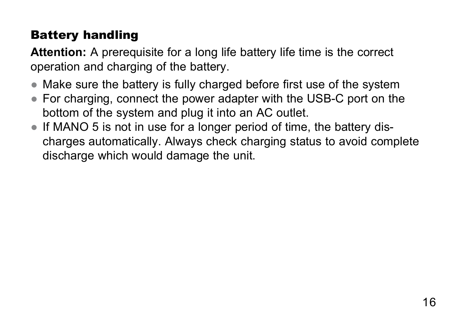# <span id="page-15-0"></span>Battery handling

**Attention:** A prerequisite for a long life battery life time is the correct operation and charging of the battery.

- Make sure the battery is fully charged before first use of the system
- For charging, connect the power adapter with the USB-C port on the bottom of the system and plug it into an AC outlet.
- If MANO 5 is not in use for a longer period of time, the battery discharges automatically. Always check charging status to avoid complete discharge which would damage the unit.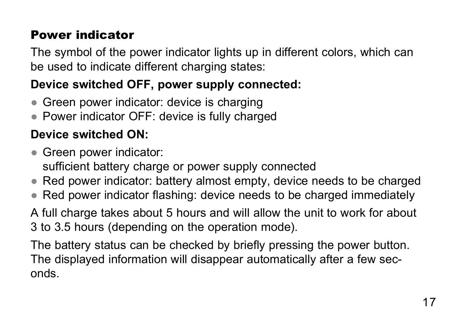# <span id="page-16-0"></span>Power indicator

The symbol of the power indicator lights up in different colors, which can be used to indicate different charging states:

# **Device switched OFF, power supply connected:**

- Green power indicator: device is charging
- Power indicator OFF: device is fully charged

# **Device switched ON:**

- Green power indicator: sufficient battery charge or power supply connected
- Red power indicator: battery almost empty, device needs to be charged
- Red power indicator flashing: device needs to be charged immediately

A full charge takes about 5 hours and will allow the unit to work for about 3 to 3.5 hours (depending on the operation mode).

The battery status can be checked by briefly pressing the power button. The displayed information will disappear automatically after a few seconds.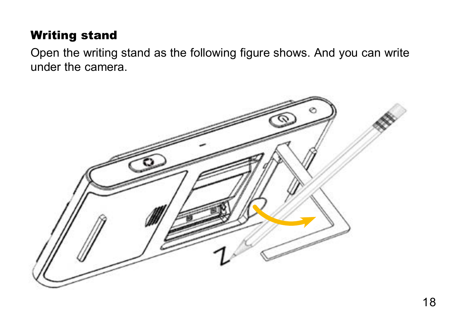## <span id="page-17-0"></span>Writing stand

Open the writing stand as the following figure shows. And you can write under the camera.

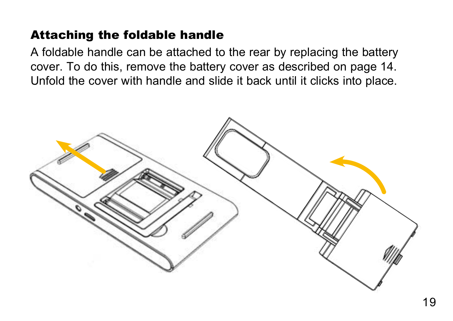#### <span id="page-18-0"></span>Attaching the foldable handle

A foldable handle can be attached to the rear by replacing the battery cover. To do this, remove the battery cover as described on [page 14.](#page-13-1) Unfold the cover with handle and slide it back until it clicks into place.

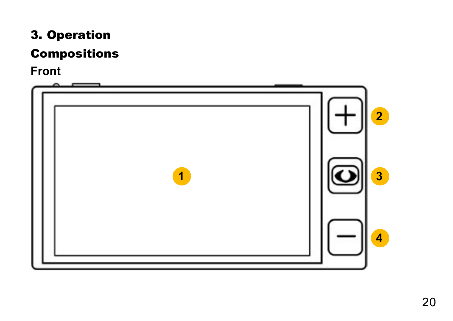# <span id="page-19-0"></span>3. Operation

#### Compositions

#### **Front**

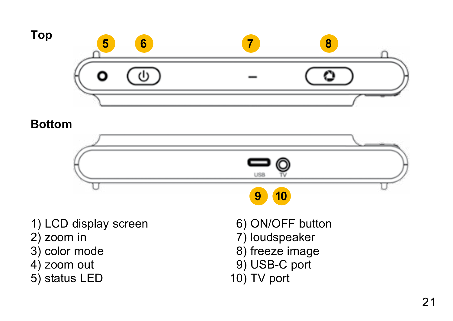

#### **Bottom**



5) status LED

10) TV port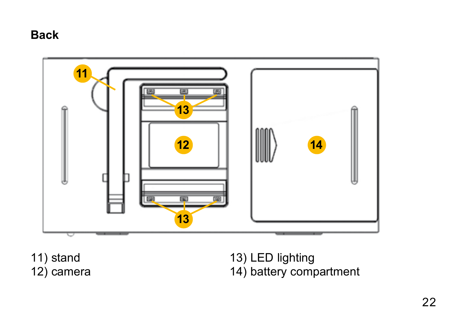#### **Back**



11) stand 12) camera 13) LED lighting 14) battery compartment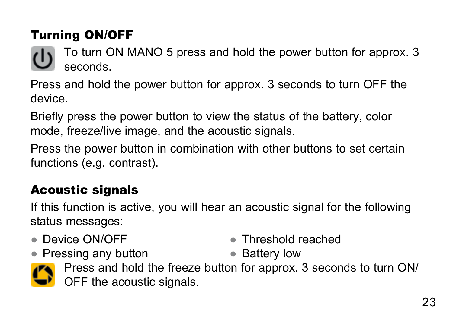# <span id="page-22-0"></span>Turning ON/OFF

To turn ON MANO 5 press and hold the power button for approx. 3 seconds.

Press and hold the power button for approx. 3 seconds to turn OFF the device.

Briefly press the power button to view the status of the battery, color mode, freeze/live image, and the acoustic signals.

Press the power button in combination with other buttons to set certain functions (e.g. contrast).

# Acoustic signals

If this function is active, you will hear an acoustic signal for the following status messages:

● Device ON/OFF

● Threshold reached

- Pressing any button
- 
- Battery low Press and hold the freeze button for approx. 3 seconds to turn ON/ OFF the acoustic signals.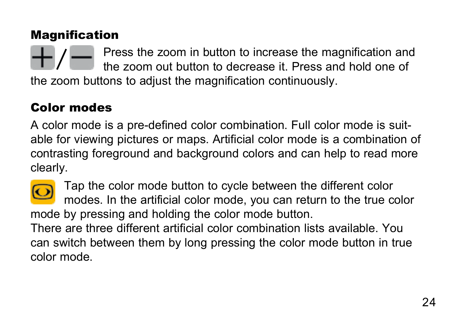# <span id="page-23-0"></span>**Magnification**

Press the zoom in button to increase the magnification and the zoom out button to decrease it. Press and hold one of the zoom buttons to adjust the magnification continuously.

# Color modes

A color mode is a pre-defined color combination. Full color mode is suitable for viewing pictures or maps. Artificial color mode is a combination of contrasting foreground and background colors and can help to read more clearly.



Tap the color mode button to cycle between the different color modes. In the artificial color mode, you can return to the true color mode by pressing and holding the color mode button.

There are three different artificial color combination lists available. You can switch between them by long pressing the color mode button in true color mode.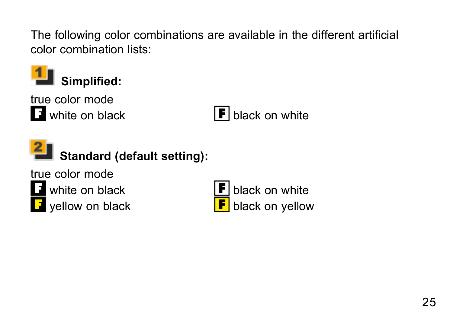The following color combinations are available in the different artificial color combination lists:



true color mode

 $\Box$  white on black  $\Box$  black on white



**Standard (default setting):**

true color mode



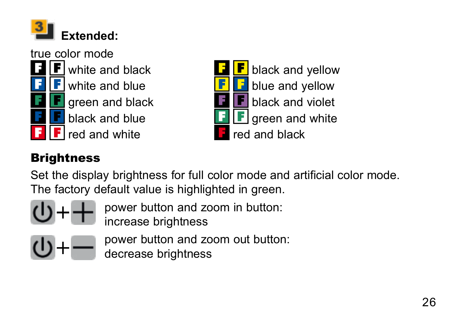<span id="page-25-0"></span>



# **Brightness**

Set the display brightness for full color mode and artificial color mode. The factory default value is highlighted in green.



power button and zoom in button: increase brightness



power button and zoom out button:

decrease brightness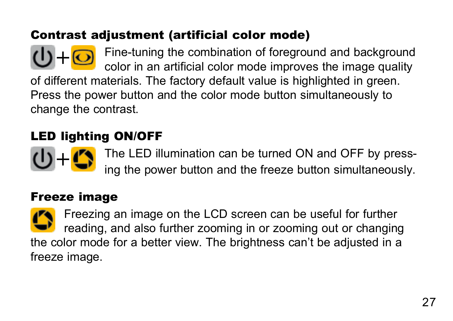#### <span id="page-26-0"></span>Contrast adjustment (artificial color mode)

Fine-tuning the combination of foreground and background color in an artificial color mode improves the image quality of different materials. The factory default value is highlighted in green. Press the power button and the color mode button simultaneously to change the contrast.

# LED lighting ON/OFF

The LED illumination can be turned ON and OFF by pressing the power button and the freeze button simultaneously.

#### Freeze image

Freezing an image on the LCD screen can be useful for further reading, and also further zooming in or zooming out or changing the color mode for a better view. The brightness can't be adjusted in a freeze image.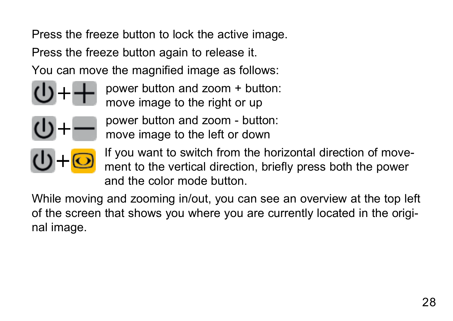Press the freeze button to lock the active image.

Press the freeze button again to release it.

You can move the magnified image as follows:



power button and zoom + button: move image to the right or up



power button and zoom - button: move image to the left or down



If you want to switch from the horizontal direction of movement to the vertical direction, briefly press both the power and the color mode button.

While moving and zooming in/out, you can see an overview at the top left of the screen that shows you where you are currently located in the original image.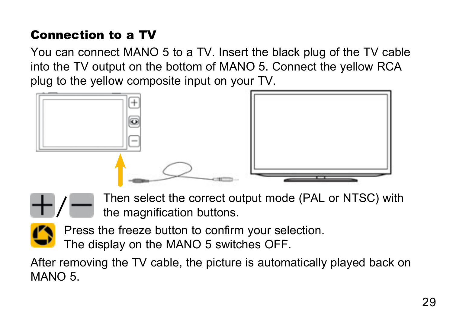# <span id="page-28-0"></span>Connection to a TV

You can connect MANO 5 to a TV. Insert the black plug of the TV cable into the TV output on the bottom of MANO 5. Connect the yellow RCA plug to the yellow composite input on your TV.





Then select the correct output mode (PAL or NTSC) with the magnification buttons.



Press the freeze button to confirm your selection.

The display on the MANO 5 switches OFF.

After removing the TV cable, the picture is automatically played back on MANO 5.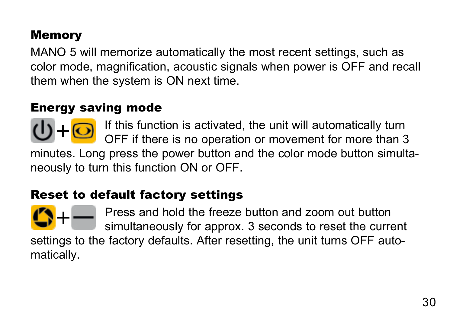# <span id="page-29-0"></span>Memory

MANO 5 will memorize automatically the most recent settings, such as color mode, magnification, acoustic signals when power is OFF and recall them when the system is ON next time.

#### Energy saving mode

If this function is activated, the unit will automatically turn OFF if there is no operation or movement for more than 3 minutes. Long press the power button and the color mode button simultaneously to turn this function ON or OFF.

#### <span id="page-29-1"></span>Reset to default factory settings



Press and hold the freeze button and zoom out button simultaneously for approx. 3 seconds to reset the current

settings to the factory defaults. After resetting, the unit turns OFF automatically.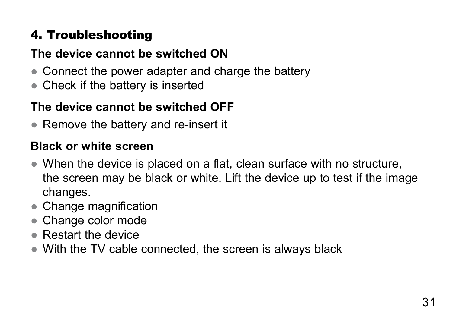# <span id="page-30-0"></span>4. Troubleshooting

# **The device cannot be switched ON**

- Connect the power adapter and charge the battery
- Check if the battery is inserted

# **The device cannot be switched OFF**

● Remove the battery and re-insert it

#### **Black or white screen**

- When the device is placed on a flat, clean surface with no structure, the screen may be black or white. Lift the device up to test if the image changes.
- Change magnification
- Change color mode
- Restart the device
- With the TV cable connected, the screen is always black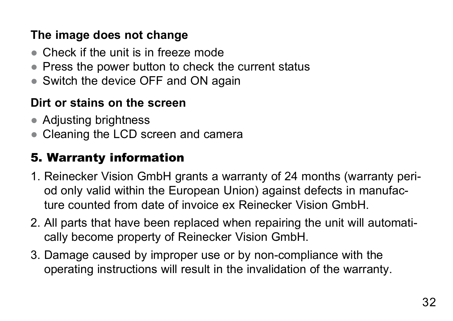#### <span id="page-31-0"></span>**The image does not change**

- Check if the unit is in freeze mode
- Press the power button to check the current status
- Switch the device OFF and ON again

#### **Dirt or stains on the screen**

- Adjusting brightness
- Cleaning the LCD screen and camera

# 5. Warranty information

- 1. Reinecker Vision GmbH grants a warranty of 24 months (warranty period only valid within the European Union) against defects in manufacture counted from date of invoice ex Reinecker Vision GmbH.
- 2. All parts that have been replaced when repairing the unit will automatically become property of Reinecker Vision GmbH.
- 3. Damage caused by improper use or by non-compliance with the operating instructions will result in the invalidation of the warranty.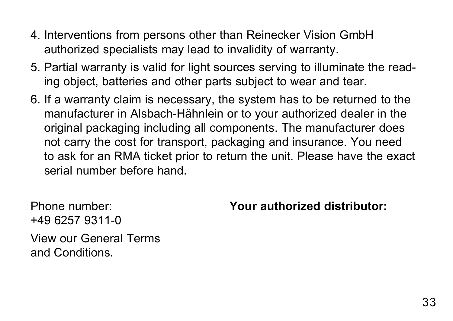- 4. Interventions from persons other than Reinecker Vision GmbH authorized specialists may lead to invalidity of warranty.
- 5. Partial warranty is valid for light sources serving to illuminate the reading object, batteries and other parts subject to wear and tear.
- 6. If a warranty claim is necessary, the system has to be returned to the manufacturer in Alsbach-Hähnlein or to your authorized dealer in the original packaging including all components. The manufacturer does not carry the cost for transport, packaging and insurance. You need to ask for an RMA ticket prior to return the unit. Please have the exact serial number before hand.

Phone number: +49 6257 9311-0 View our General Terms and Conditions.

**Your authorized distributor:**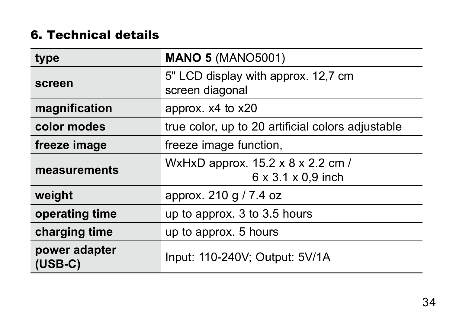#### <span id="page-33-0"></span>6. Technical details

| type                       | <b>MANO 5 (MANO5001)</b>                                            |
|----------------------------|---------------------------------------------------------------------|
| screen                     | 5" LCD display with approx. 12,7 cm<br>screen diagonal              |
| magnification              | approx. x4 to x20                                                   |
| color modes                | true color, up to 20 artificial colors adjustable                   |
| freeze image               | freeze image function,                                              |
| measurements               | WxHxD approx. 15.2 x 8 x 2.2 cm /<br>$6 \times 3.1 \times 0.9$ inch |
| weight                     | approx. 210 g / 7.4 oz                                              |
| operating time             | up to approx. 3 to 3.5 hours                                        |
| charging time              | up to approx. 5 hours                                               |
| power adapter<br>$(USB-C)$ | Input: 110-240V; Output: 5V/1A                                      |